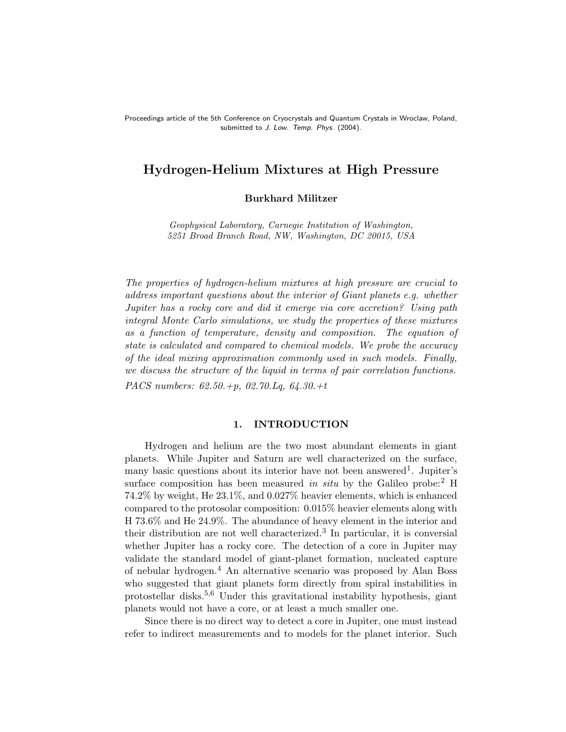Proceedings article of the 5th Conference on Cryocrystals and Quantum Crystals in Wroclaw, Poland, submitted to J. Low. Temp. Phys. (2004).

# Hydrogen-Helium Mixtures at High Pressure

# Burkhard Militzer

Geophysical Laboratory, Carnegie Institution of Washington, 5251 Broad Branch Road, NW, Washington, DC 20015, USA

The properties of hydrogen-helium mixtures at high pressure are crucial to address important questions about the interior of Giant planets e.g. whether Jupiter has a rocky core and did it emerge via core accretion? Using path integral Monte Carlo simulations, we study the properties of these mixtures as a function of temperature, density and composition. The equation of state is calculated and compared to chemical models. We probe the accuracy of the ideal mixing approximation commonly used in such models. Finally, we discuss the structure of the liquid in terms of pair correlation functions. PACS numbers: 62.50.+p, 02.70.Lq, 64.30.+t

### 1. INTRODUCTION

Hydrogen and helium are the two most abundant elements in giant planets. While Jupiter and Saturn are well characterized on the surface, many basic questions about its interior have not been answered<sup>1</sup>. Jupiter's surface composition has been measured in situ by the Galileo probe:<sup>2</sup> H 74.2% by weight, He 23.1%, and 0.027% heavier elements, which is enhanced compared to the protosolar composition: 0.015% heavier elements along with H 73.6% and He 24.9%. The abundance of heavy element in the interior and their distribution are not well characterized.<sup>3</sup> In particular, it is conversial whether Jupiter has a rocky core. The detection of a core in Jupiter may validate the standard model of giant-planet formation, nucleated capture of nebular hydrogen.<sup>4</sup> An alternative scenario was proposed by Alan Boss who suggested that giant planets form directly from spiral instabilities in protostellar disks.5,6 Under this gravitational instability hypothesis, giant planets would not have a core, or at least a much smaller one.

Since there is no direct way to detect a core in Jupiter, one must instead refer to indirect measurements and to models for the planet interior. Such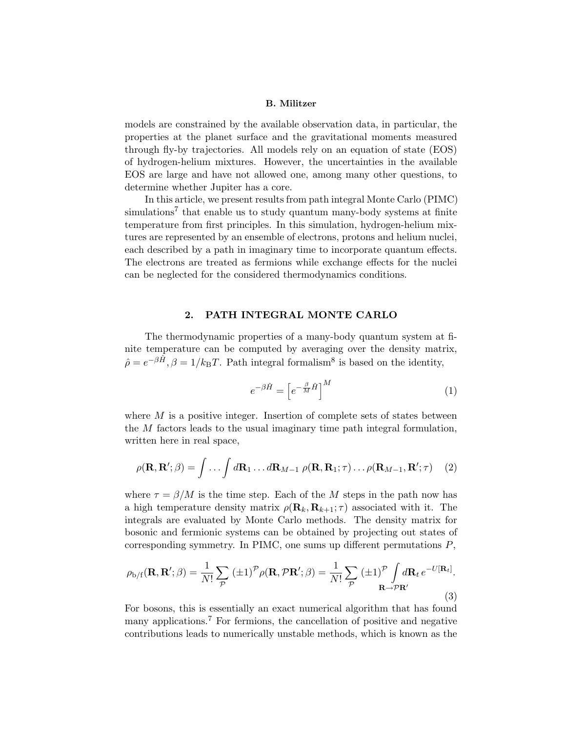models are constrained by the available observation data, in particular, the properties at the planet surface and the gravitational moments measured through fly-by trajectories. All models rely on an equation of state (EOS) of hydrogen-helium mixtures. However, the uncertainties in the available EOS are large and have not allowed one, among many other questions, to determine whether Jupiter has a core.

In this article, we present results from path integral Monte Carlo (PIMC) simulations<sup>7</sup> that enable us to study quantum many-body systems at finite temperature from first principles. In this simulation, hydrogen-helium mixtures are represented by an ensemble of electrons, protons and helium nuclei, each described by a path in imaginary time to incorporate quantum effects. The electrons are treated as fermions while exchange effects for the nuclei can be neglected for the considered thermodynamics conditions.

### 2. PATH INTEGRAL MONTE CARLO

The thermodynamic properties of a many-body quantum system at finite temperature can be computed by averaging over the density matrix,  $\hat{\rho} = e^{-\beta \hat{H}}, \beta = 1/k_B T$ . Path integral formalism<sup>8</sup> is based on the identity,

$$
e^{-\beta \hat{H}} = \left[e^{-\frac{\beta}{M}\hat{H}}\right]^M \tag{1}
$$

where  $M$  is a positive integer. Insertion of complete sets of states between the M factors leads to the usual imaginary time path integral formulation, written here in real space,

$$
\rho(\mathbf{R}, \mathbf{R}'; \beta) = \int \dots \int d\mathbf{R}_1 \dots d\mathbf{R}_{M-1} \rho(\mathbf{R}, \mathbf{R}_1; \tau) \dots \rho(\mathbf{R}_{M-1}, \mathbf{R}'; \tau) \tag{2}
$$

where  $\tau = \beta/M$  is the time step. Each of the M steps in the path now has a high temperature density matrix  $\rho(\mathbf{R}_k, \mathbf{R}_{k+1}; \tau)$  associated with it. The integrals are evaluated by Monte Carlo methods. The density matrix for bosonic and fermionic systems can be obtained by projecting out states of corresponding symmetry. In PIMC, one sums up different permutations  $P$ ,

$$
\rho_{\mathrm{b/f}}(\mathbf{R}, \mathbf{R}'; \beta) = \frac{1}{N!} \sum_{\mathcal{P}} (\pm 1)^{\mathcal{P}} \rho(\mathbf{R}, \mathcal{P}\mathbf{R}'; \beta) = \frac{1}{N!} \sum_{\mathcal{P}} (\pm 1)^{\mathcal{P}} \int d\mathbf{R}_t e^{-U[\mathbf{R}_t]}.
$$
\n(3)

For bosons, this is essentially an exact numerical algorithm that has found many applications.<sup>7</sup> For fermions, the cancellation of positive and negative contributions leads to numerically unstable methods, which is known as the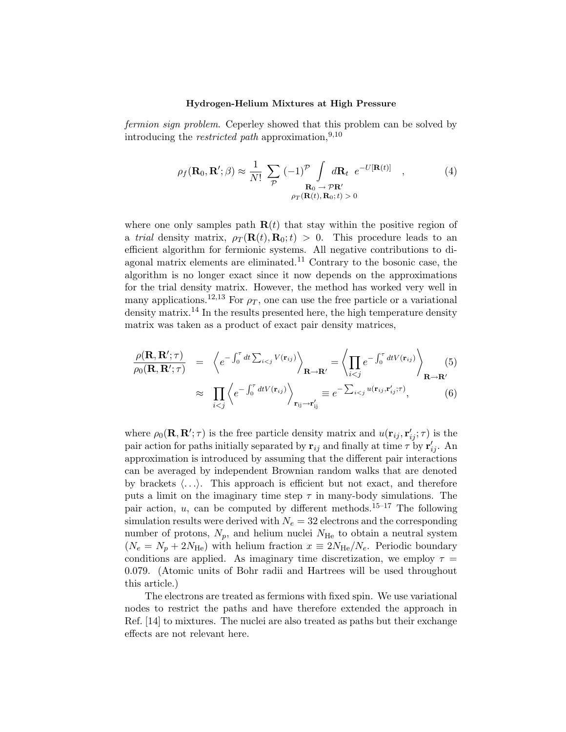fermion sign problem. Ceperley showed that this problem can be solved by introducing the *restricted path* approximation,  $9,10$ 

$$
\rho_f(\mathbf{R}_0, \mathbf{R}'; \beta) \approx \frac{1}{N!} \sum_{\mathcal{P}} (-1)^{\mathcal{P}} \int_{\mathbf{R}_0 \to \mathcal{P} \mathbf{R}'} d\mathbf{R}_t \ e^{-U[\mathbf{R}(t)]} \quad , \tag{4}
$$

$$
\rho_T(\mathbf{R}(t), \mathbf{R}_0; t) > 0
$$

where one only samples path  $\mathbf{R}(t)$  that stay within the positive region of a trial density matrix,  $\rho_T(\mathbf{R}(t), \mathbf{R}_0; t) > 0$ . This procedure leads to an efficient algorithm for fermionic systems. All negative contributions to diagonal matrix elements are eliminated.<sup>11</sup> Contrary to the bosonic case, the algorithm is no longer exact since it now depends on the approximations for the trial density matrix. However, the method has worked very well in many applications.<sup>12,13</sup> For  $\rho_T$ , one can use the free particle or a variational density matrix.<sup>14</sup> In the results presented here, the high temperature density matrix was taken as a product of exact pair density matrices,

$$
\frac{\rho(\mathbf{R}, \mathbf{R}'; \tau)}{\rho_0(\mathbf{R}, \mathbf{R}'; \tau)} = \left\langle e^{-\int_0^{\tau} dt \sum_{i < j} V(\mathbf{r}_{ij})} \right\rangle_{\mathbf{R} \to \mathbf{R}'} = \left\langle \prod_{i < j} e^{-\int_0^{\tau} dt V(\mathbf{r}_{ij})} \right\rangle_{\mathbf{R} \to \mathbf{R}'}
$$
\n
$$
\approx \prod_{i < j} \left\langle e^{-\int_0^{\tau} dt V(\mathbf{r}_{ij})} \right\rangle_{\mathbf{r}_{ij} \to \mathbf{r}'_{ij}} \equiv e^{-\sum_{i < j} u(\mathbf{r}_{ij}, \mathbf{r}'_{ij}; \tau)}, \tag{6}
$$

where  $\rho_0(\mathbf{R}, \mathbf{R}'; \tau)$  is the free particle density matrix and  $u(\mathbf{r}_{ij}, \mathbf{r}'_{ij}; \tau)$  is the pair action for paths initially separated by  $\mathbf{r}_{ij}$  and finally at time  $\tau$  by  $\mathbf{r}'_{ij}$ . An approximation is introduced by assuming that the different pair interactions can be averaged by independent Brownian random walks that are denoted by brackets  $\langle \ldots \rangle$ . This approach is efficient but not exact, and therefore puts a limit on the imaginary time step  $\tau$  in many-body simulations. The pair action, u, can be computed by different methods.<sup>15–17</sup> The following simulation results were derived with  $N_e = 32$  electrons and the corresponding number of protons,  $N_p$ , and helium nuclei  $N_{\text{He}}$  to obtain a neutral system  $(N_e = N_p + 2N_{\text{He}})$  with helium fraction  $x \equiv 2N_{\text{He}}/N_e$ . Periodic boundary conditions are applied. As imaginary time discretization, we employ  $\tau =$ 0.079. (Atomic units of Bohr radii and Hartrees will be used throughout this article.)

The electrons are treated as fermions with fixed spin. We use variational nodes to restrict the paths and have therefore extended the approach in Ref. [14] to mixtures. The nuclei are also treated as paths but their exchange effects are not relevant here.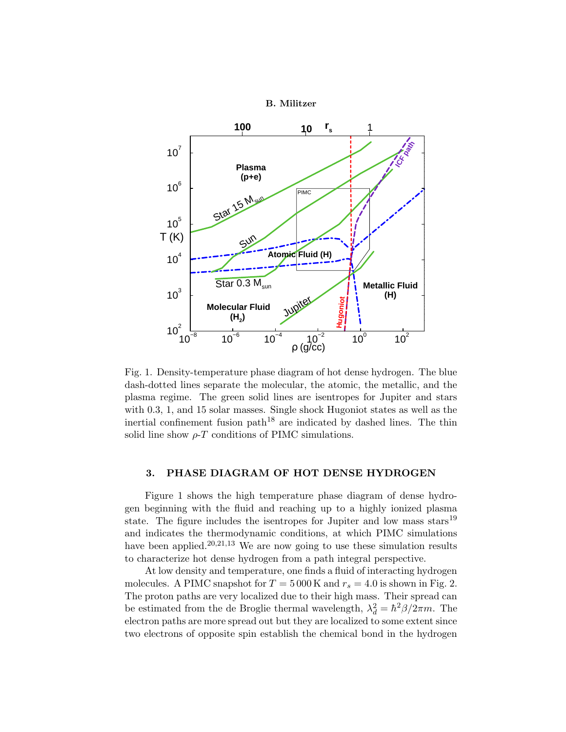

Fig. 1. Density-temperature phase diagram of hot dense hydrogen. The blue dash-dotted lines separate the molecular, the atomic, the metallic, and the plasma regime. The green solid lines are isentropes for Jupiter and stars with 0.3, 1, and 15 solar masses. Single shock Hugoniot states as well as the inertial confinement fusion path<sup>18</sup> are indicated by dashed lines. The thin solid line show  $\rho$ -*T* conditions of PIMC simulations.

# 3. PHASE DIAGRAM OF HOT DENSE HYDROGEN

Figure 1 shows the high temperature phase diagram of dense hydrogen beginning with the fluid and reaching up to a highly ionized plasma state. The figure includes the isentropes for Jupiter and low mass stars<sup>19</sup> and indicates the thermodynamic conditions, at which PIMC simulations have been applied.<sup>20,21,13</sup> We are now going to use these simulation results to characterize hot dense hydrogen from a path integral perspective.

At low density and temperature, one finds a fluid of interacting hydrogen molecules. A PIMC snapshot for  $T = 5000$  K and  $r_s = 4.0$  is shown in Fig. 2. The proton paths are very localized due to their high mass. Their spread can be estimated from the de Broglie thermal wavelength,  $\lambda_d^2 = \hbar^2 \beta / 2\pi m$ . The electron paths are more spread out but they are localized to some extent since two electrons of opposite spin establish the chemical bond in the hydrogen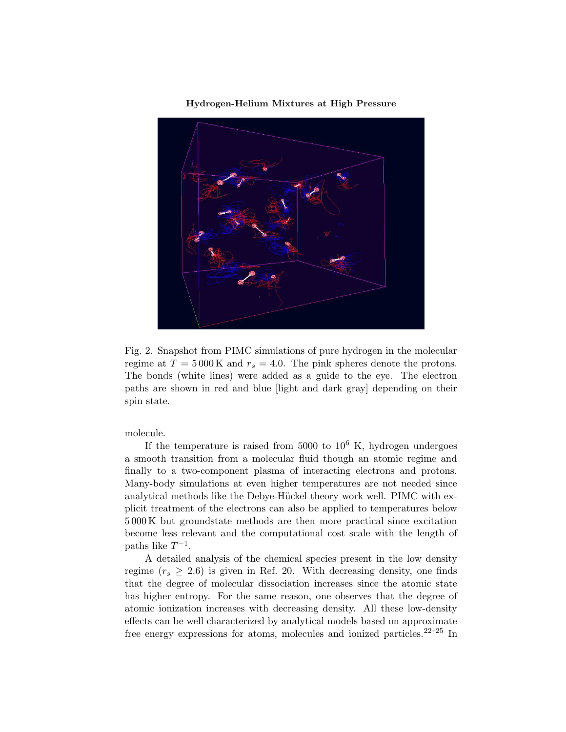

Fig. 2. Snapshot from PIMC simulations of pure hydrogen in the molecular regime at  $T = 5000 \text{ K}$  and  $r_s = 4.0$ . The pink spheres denote the protons. The bonds (white lines) were added as a guide to the eye. The electron paths are shown in red and blue [light and dark gray] depending on their spin state.

molecule.

If the temperature is raised from 5000 to  $10^6$  K, hydrogen undergoes a smooth transition from a molecular fluid though an atomic regime and finally to a two-component plasma of interacting electrons and protons. Many-body simulations at even higher temperatures are not needed since analytical methods like the Debye-Hückel theory work well. PIMC with explicit treatment of the electrons can also be applied to temperatures below 5 000 K but groundstate methods are then more practical since excitation become less relevant and the computational cost scale with the length of paths like  $T^{-1}$ .

A detailed analysis of the chemical species present in the low density regime ( $r_s \geq 2.6$ ) is given in Ref. 20. With decreasing density, one finds that the degree of molecular dissociation increases since the atomic state has higher entropy. For the same reason, one observes that the degree of atomic ionization increases with decreasing density. All these low-density effects can be well characterized by analytical models based on approximate free energy expressions for atoms, molecules and ionized particles. $22-25$  In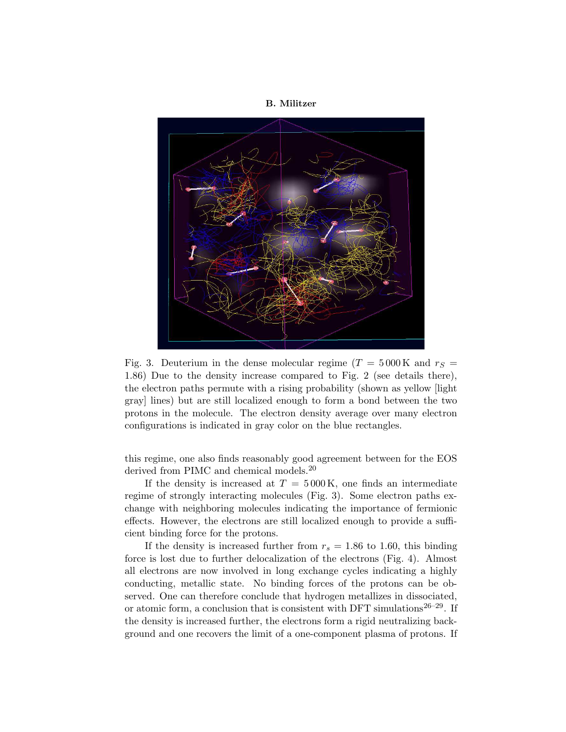

Fig. 3. Deuterium in the dense molecular regime ( $T = 5000 \text{ K}$  and  $r_S =$ 1.86) Due to the density increase compared to Fig. 2 (see details there), the electron paths permute with a rising probability (shown as yellow [light gray] lines) but are still localized enough to form a bond between the two protons in the molecule. The electron density average over many electron configurations is indicated in gray color on the blue rectangles.

this regime, one also finds reasonably good agreement between for the EOS derived from PIMC and chemical models.<sup>20</sup>

If the density is increased at  $T = 5000 \text{ K}$ , one finds an intermediate regime of strongly interacting molecules (Fig. 3). Some electron paths exchange with neighboring molecules indicating the importance of fermionic effects. However, the electrons are still localized enough to provide a sufficient binding force for the protons.

If the density is increased further from  $r_s = 1.86$  to 1.60, this binding force is lost due to further delocalization of the electrons (Fig. 4). Almost all electrons are now involved in long exchange cycles indicating a highly conducting, metallic state. No binding forces of the protons can be observed. One can therefore conclude that hydrogen metallizes in dissociated, or atomic form, a conclusion that is consistent with DFT simulations<sup>26-29</sup>. If the density is increased further, the electrons form a rigid neutralizing background and one recovers the limit of a one-component plasma of protons. If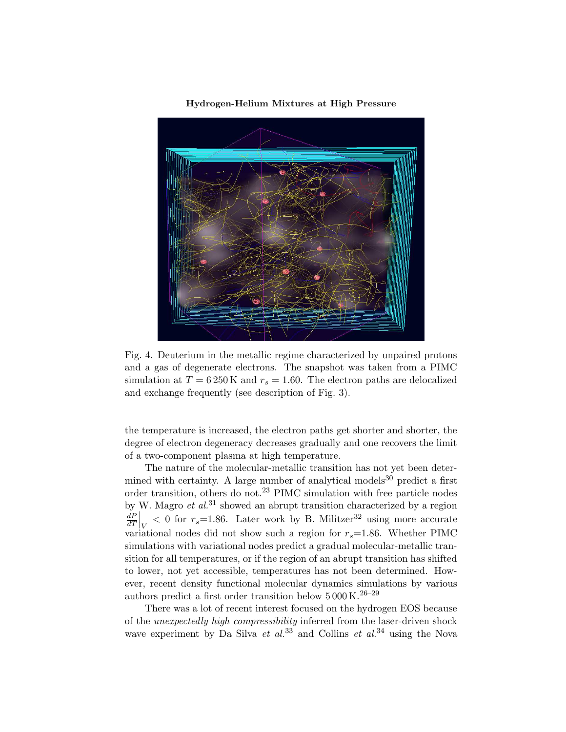

Fig. 4. Deuterium in the metallic regime characterized by unpaired protons and a gas of degenerate electrons. The snapshot was taken from a PIMC simulation at  $T = 6250 \text{ K}$  and  $r_s = 1.60$ . The electron paths are delocalized and exchange frequently (see description of Fig. 3).

the temperature is increased, the electron paths get shorter and shorter, the degree of electron degeneracy decreases gradually and one recovers the limit of a two-component plasma at high temperature.

The nature of the molecular-metallic transition has not yet been determined with certainty. A large number of analytical models<sup>30</sup> predict a first order transition, others do not.<sup>23</sup> PIMC simulation with free particle nodes by W. Magro et  $al$ .<sup>31</sup> showed an abrupt transition characterized by a region  $dP$  $\frac{dP}{dT}\Big|_V < 0$  for  $r_s = 1.86$ . Later work by B. Militzer<sup>32</sup> using more accurate variational nodes did not show such a region for  $r_s=1.86$ . Whether PIMC simulations with variational nodes predict a gradual molecular-metallic transition for all temperatures, or if the region of an abrupt transition has shifted to lower, not yet accessible, temperatures has not been determined. However, recent density functional molecular dynamics simulations by various authors predict a first order transition below  $5\,000\,\rm K.^{26-29}$ 

There was a lot of recent interest focused on the hydrogen EOS because of the unexpectedly high compressibility inferred from the laser-driven shock wave experiment by Da Silva et  $al^{33}$  and Collins et  $al^{34}$  using the Nova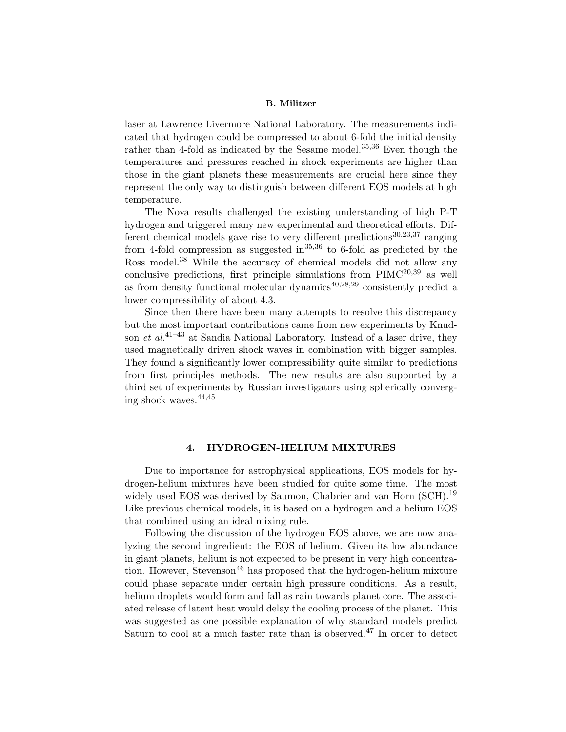laser at Lawrence Livermore National Laboratory. The measurements indicated that hydrogen could be compressed to about 6-fold the initial density rather than 4-fold as indicated by the Sesame model.<sup>35,36</sup> Even though the temperatures and pressures reached in shock experiments are higher than those in the giant planets these measurements are crucial here since they represent the only way to distinguish between different EOS models at high temperature.

The Nova results challenged the existing understanding of high P-T hydrogen and triggered many new experimental and theoretical efforts. Different chemical models gave rise to very different predictions<sup>30,23,37</sup> ranging from 4-fold compression as suggested in  $35,36$  to 6-fold as predicted by the Ross model.<sup>38</sup> While the accuracy of chemical models did not allow any conclusive predictions, first principle simulations from  $\text{PIMC}^{20,39}$  as well as from density functional molecular dynamics $40,28,29$  consistently predict a lower compressibility of about 4.3.

Since then there have been many attempts to resolve this discrepancy but the most important contributions came from new experiments by Knudson et  $al^{41-43}$  at Sandia National Laboratory. Instead of a laser drive, they used magnetically driven shock waves in combination with bigger samples. They found a significantly lower compressibility quite similar to predictions from first principles methods. The new results are also supported by a third set of experiments by Russian investigators using spherically converging shock waves.44,45

### 4. HYDROGEN-HELIUM MIXTURES

Due to importance for astrophysical applications, EOS models for hydrogen-helium mixtures have been studied for quite some time. The most widely used EOS was derived by Saumon, Chabrier and van Horn (SCH).<sup>19</sup> Like previous chemical models, it is based on a hydrogen and a helium EOS that combined using an ideal mixing rule.

Following the discussion of the hydrogen EOS above, we are now analyzing the second ingredient: the EOS of helium. Given its low abundance in giant planets, helium is not expected to be present in very high concentration. However, Stevenson<sup>46</sup> has proposed that the hydrogen-helium mixture could phase separate under certain high pressure conditions. As a result, helium droplets would form and fall as rain towards planet core. The associ-ated release of latent heat would delay the cooling process of the planet. This was suggested as one possible explanation of why standard models predict Saturn to cool at a much faster rate than is observed.<sup>47</sup> In order to detect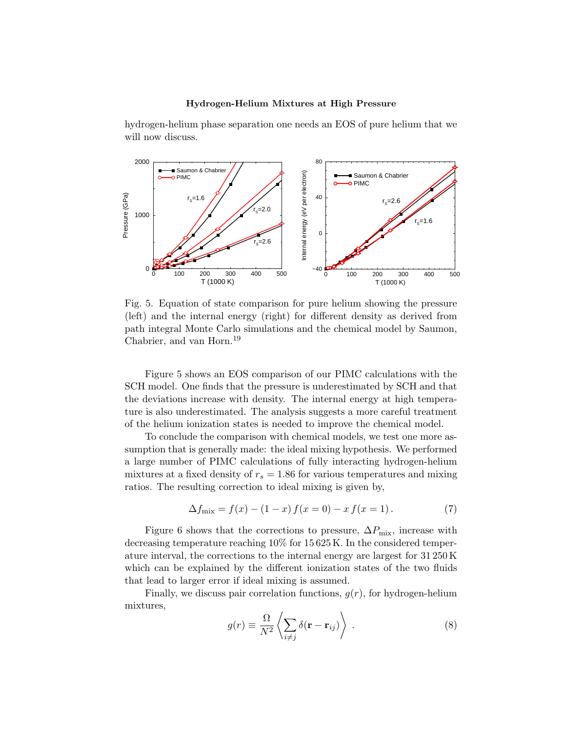hydrogen-helium phase separation one needs an EOS of pure helium that we will now discuss.



Fig. 5. Equation of state comparison for pure helium showing the pressure (left) and the internal energy (right) for different density as derived from path integral Monte Carlo simulations and the chemical model by Saumon, Chabrier, and van Horn.<sup>19</sup>

Figure 5 shows an EOS comparison of our PIMC calculations with the SCH model. One finds that the pressure is underestimated by SCH and that the deviations increase with density. The internal energy at high temperature is also underestimated. The analysis suggests a more careful treatment of the helium ionization states is needed to improve the chemical model.

To conclude the comparison with chemical models, we test one more assumption that is generally made: the ideal mixing hypothesis. We performed a large number of PIMC calculations of fully interacting hydrogen-helium mixtures at a fixed density of  $r_s = 1.86$  for various temperatures and mixing ratios. The resulting correction to ideal mixing is given by,

$$
\Delta f_{\text{mix}} = f(x) - (1 - x) f(x = 0) - x f(x = 1).
$$
\n(7)

Figure 6 shows that the corrections to pressure,  $\Delta P_{\text{mix}}$ , increase with decreasing temperature reaching 10% for 15 625 K. In the considered temperature interval, the corrections to the internal energy are largest for 31 250 K which can be explained by the different ionization states of the two fluids that lead to larger error if ideal mixing is assumed.

Finally, we discuss pair correlation functions,  $q(r)$ , for hydrogen-helium mixtures,

$$
g(r) \equiv \frac{\Omega}{N^2} \left\langle \sum_{i \neq j} \delta(\mathbf{r} - \mathbf{r}_{ij}) \right\rangle . \tag{8}
$$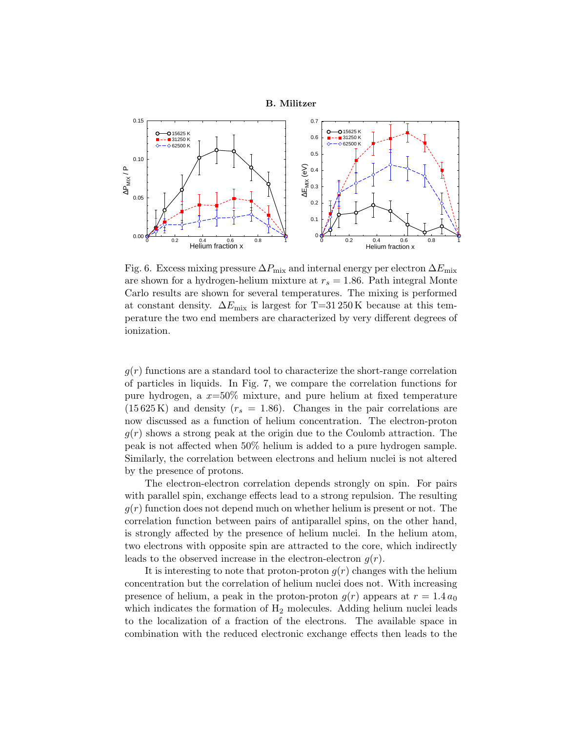

Fig. 6. Excess mixing pressure  $\Delta P_{\text{mix}}$  and internal energy per electron  $\Delta E_{\text{mix}}$ are shown for a hydrogen-helium mixture at  $r_s = 1.86$ . Path integral Monte Carlo results are shown for several temperatures. The mixing is performed at constant density.  $\Delta E_{\text{mix}}$  is largest for T=31 250 K because at this temperature the two end members are characterized by very different degrees of ionization.

 $g(r)$  functions are a standard tool to characterize the short-range correlation of particles in liquids. In Fig. 7, we compare the correlation functions for pure hydrogen, a  $x=50\%$  mixture, and pure helium at fixed temperature  $(15625 \text{ K})$  and density  $(r_s = 1.86)$ . Changes in the pair correlations are now discussed as a function of helium concentration. The electron-proton  $q(r)$  shows a strong peak at the origin due to the Coulomb attraction. The peak is not affected when 50% helium is added to a pure hydrogen sample. Similarly, the correlation between electrons and helium nuclei is not altered by the presence of protons.

The electron-electron correlation depends strongly on spin. For pairs with parallel spin, exchange effects lead to a strong repulsion. The resulting  $g(r)$  function does not depend much on whether helium is present or not. The correlation function between pairs of antiparallel spins, on the other hand, is strongly affected by the presence of helium nuclei. In the helium atom, two electrons with opposite spin are attracted to the core, which indirectly leads to the observed increase in the electron-electron  $g(r)$ .

It is interesting to note that proton-proton  $g(r)$  changes with the helium concentration but the correlation of helium nuclei does not. With increasing presence of helium, a peak in the proton-proton  $g(r)$  appears at  $r = 1.4 a_0$ which indicates the formation of  $H_2$  molecules. Adding helium nuclei leads to the localization of a fraction of the electrons. The available space in combination with the reduced electronic exchange effects then leads to the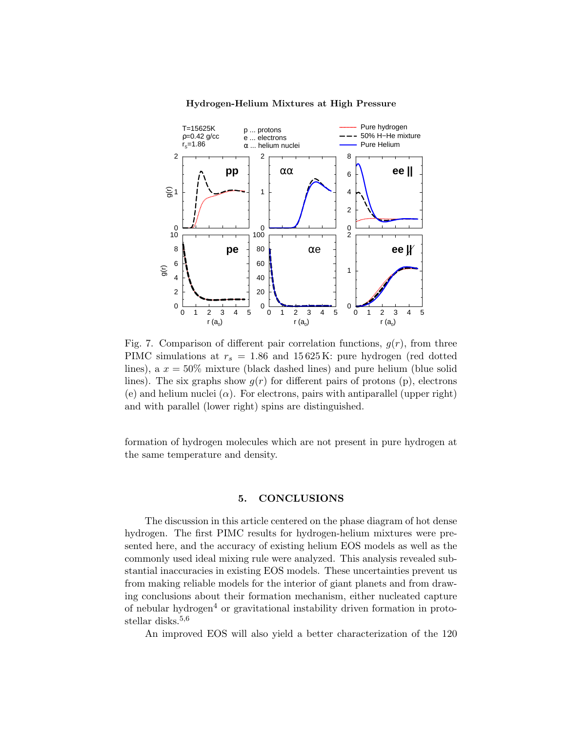

Fig. 7. Comparison of different pair correlation functions,  $g(r)$ , from three PIMC simulations at  $r_s = 1.86$  and 15625K: pure hydrogen (red dotted lines), a  $x = 50\%$  mixture (black dashed lines) and pure helium (blue solid lines). The six graphs show  $g(r)$  for different pairs of protons (p), electrons (e) and helium nuclei  $(\alpha)$ . For electrons, pairs with antiparallel (upper right) and with parallel (lower right) spins are distinguished.

formation of hydrogen molecules which are not present in pure hydrogen at the same temperature and density.

# 5. CONCLUSIONS

The discussion in this article centered on the phase diagram of hot dense hydrogen. The first PIMC results for hydrogen-helium mixtures were presented here, and the accuracy of existing helium EOS models as well as the commonly used ideal mixing rule were analyzed. This analysis revealed substantial inaccuracies in existing EOS models. These uncertainties prevent us from making reliable models for the interior of giant planets and from drawing conclusions about their formation mechanism, either nucleated capture of nebular hydrogen<sup>4</sup> or gravitational instability driven formation in protostellar disks.<sup>5,6</sup>

An improved EOS will also yield a better characterization of the 120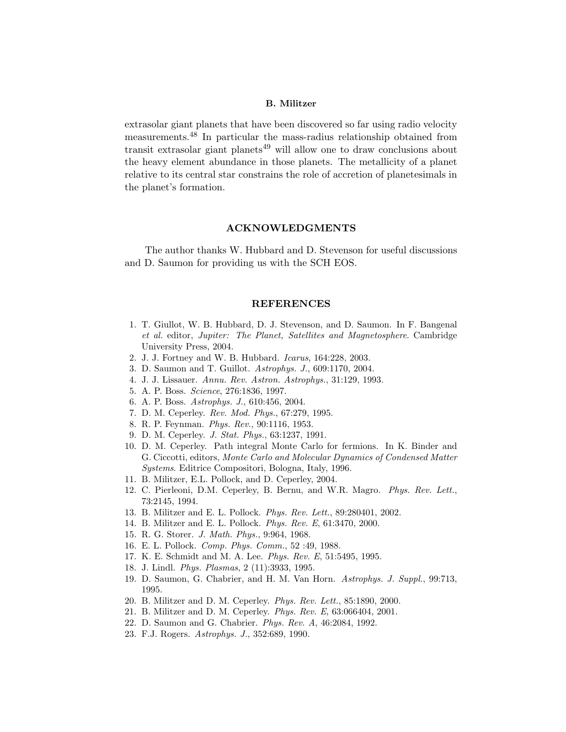extrasolar giant planets that have been discovered so far using radio velocity measurements.<sup>48</sup> In particular the mass-radius relationship obtained from transit extrasolar giant planets<sup>49</sup> will allow one to draw conclusions about the heavy element abundance in those planets. The metallicity of a planet relative to its central star constrains the role of accretion of planetesimals in the planet's formation.

### ACKNOWLEDGMENTS

The author thanks W. Hubbard and D. Stevenson for useful discussions and D. Saumon for providing us with the SCH EOS.

#### REFERENCES

- 1. T. Giullot, W. B. Hubbard, D. J. Stevenson, and D. Saumon. In F. Bangenal et al. editor, Jupiter: The Planet, Satellites and Magnetosphere. Cambridge University Press, 2004.
- 2. J. J. Fortney and W. B. Hubbard. Icarus, 164:228, 2003.
- 3. D. Saumon and T. Guillot. Astrophys. J., 609:1170, 2004.
- 4. J. J. Lissauer. Annu. Rev. Astron. Astrophys., 31:129, 1993.
- 5. A. P. Boss. Science, 276:1836, 1997.
- 6. A. P. Boss. Astrophys. J., 610:456, 2004.
- 7. D. M. Ceperley. Rev. Mod. Phys., 67:279, 1995.
- 8. R. P. Feynman. Phys. Rev., 90:1116, 1953.
- 9. D. M. Ceperley. J. Stat. Phys., 63:1237, 1991.
- 10. D. M. Ceperley. Path integral Monte Carlo for fermions. In K. Binder and G. Ciccotti, editors, Monte Carlo and Molecular Dynamics of Condensed Matter Systems. Editrice Compositori, Bologna, Italy, 1996.
- 11. B. Militzer, E.L. Pollock, and D. Ceperley, 2004.
- 12. C. Pierleoni, D.M. Ceperley, B. Bernu, and W.R. Magro. Phys. Rev. Lett., 73:2145, 1994.
- 13. B. Militzer and E. L. Pollock. Phys. Rev. Lett., 89:280401, 2002.
- 14. B. Militzer and E. L. Pollock. Phys. Rev. E, 61:3470, 2000.
- 15. R. G. Storer. J. Math. Phys., 9:964, 1968.
- 16. E. L. Pollock. Comp. Phys. Comm., 52 :49, 1988.
- 17. K. E. Schmidt and M. A. Lee. Phys. Rev. E, 51:5495, 1995.
- 18. J. Lindl. Phys. Plasmas, 2 (11):3933, 1995.
- 19. D. Saumon, G. Chabrier, and H. M. Van Horn. Astrophys. J. Suppl., 99:713, 1995.
- 20. B. Militzer and D. M. Ceperley. Phys. Rev. Lett., 85:1890, 2000.
- 21. B. Militzer and D. M. Ceperley. Phys. Rev. E, 63:066404, 2001.
- 22. D. Saumon and G. Chabrier. Phys. Rev. A, 46:2084, 1992.
- 23. F.J. Rogers. Astrophys. J., 352:689, 1990.